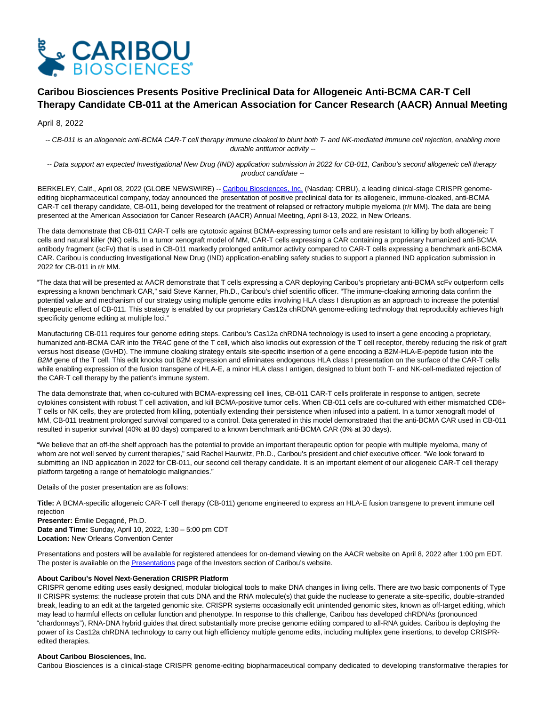

# **Caribou Biosciences Presents Positive Preclinical Data for Allogeneic Anti-BCMA CAR-T Cell Therapy Candidate CB-011 at the American Association for Cancer Research (AACR) Annual Meeting**

## April 8, 2022

-- CB-011 is an allogeneic anti-BCMA CAR-T cell therapy immune cloaked to blunt both T- and NK-mediated immune cell rejection, enabling more durable antitumor activity --

-- Data support an expected Investigational New Drug (IND) application submission in 2022 for CB-011, Caribou's second allogeneic cell therapy product candidate --

BERKELEY, Calif., April 08, 2022 (GLOBE NEWSWIRE) -- [Caribou Biosciences, Inc. \(](https://www.globenewswire.com/Tracker?data=DP1CHKo4YXjc_dsWa9zTkrQWnF8h15DKgTWJZxu2bmJSveudQhl1P6_cf5qC1Mmvj34-DN4Y7PxrUg_EaDHmaTusfd0R2M12iO6Sl0v-Afc=)Nasdaq: CRBU), a leading clinical-stage CRISPR genomeediting biopharmaceutical company, today announced the presentation of positive preclinical data for its allogeneic, immune-cloaked, anti-BCMA CAR-T cell therapy candidate, CB-011, being developed for the treatment of relapsed or refractory multiple myeloma (r/r MM). The data are being presented at the American Association for Cancer Research (AACR) Annual Meeting, April 8-13, 2022, in New Orleans.

The data demonstrate that CB-011 CAR-T cells are cytotoxic against BCMA-expressing tumor cells and are resistant to killing by both allogeneic T cells and natural killer (NK) cells. In a tumor xenograft model of MM, CAR-T cells expressing a CAR containing a proprietary humanized anti-BCMA antibody fragment (scFv) that is used in CB-011 markedly prolonged antitumor activity compared to CAR-T cells expressing a benchmark anti-BCMA CAR. Caribou is conducting Investigational New Drug (IND) application-enabling safety studies to support a planned IND application submission in 2022 for CB-011 in r/r MM.

"The data that will be presented at AACR demonstrate that T cells expressing a CAR deploying Caribou's proprietary anti-BCMA scFv outperform cells expressing a known benchmark CAR," said Steve Kanner, Ph.D., Caribou's chief scientific officer. "The immune-cloaking armoring data confirm the potential value and mechanism of our strategy using multiple genome edits involving HLA class I disruption as an approach to increase the potential therapeutic effect of CB-011. This strategy is enabled by our proprietary Cas12a chRDNA genome-editing technology that reproducibly achieves high specificity genome editing at multiple loci."

Manufacturing CB-011 requires four genome editing steps. Caribou's Cas12a chRDNA technology is used to insert a gene encoding a proprietary, humanized anti-BCMA CAR into the TRAC gene of the T cell, which also knocks out expression of the T cell receptor, thereby reducing the risk of graft versus host disease (GvHD). The immune cloaking strategy entails site-specific insertion of a gene encoding a B2M-HLA-E-peptide fusion into the B2M gene of the T cell. This edit knocks out B2M expression and eliminates endogenous HLA class I presentation on the surface of the CAR-T cells while enabling expression of the fusion transgene of HLA-E, a minor HLA class I antigen, designed to blunt both T- and NK-cell-mediated rejection of the CAR-T cell therapy by the patient's immune system.

The data demonstrate that, when co-cultured with BCMA-expressing cell lines, CB-011 CAR-T cells proliferate in response to antigen, secrete cytokines consistent with robust T cell activation, and kill BCMA-positive tumor cells. When CB-011 cells are co-cultured with either mismatched CD8+ T cells or NK cells, they are protected from killing, potentially extending their persistence when infused into a patient. In a tumor xenograft model of MM, CB-011 treatment prolonged survival compared to a control. Data generated in this model demonstrated that the anti-BCMA CAR used in CB-011 resulted in superior survival (40% at 80 days) compared to a known benchmark anti-BCMA CAR (0% at 30 days).

"We believe that an off-the shelf approach has the potential to provide an important therapeutic option for people with multiple myeloma, many of whom are not well served by current therapies," said Rachel Haurwitz, Ph.D., Caribou's president and chief executive officer. "We look forward to submitting an IND application in 2022 for CB-011, our second cell therapy candidate. It is an important element of our allogeneic CAR-T cell therapy platform targeting a range of hematologic malignancies."

Details of the poster presentation are as follows:

**Title:** A BCMA-specific allogeneic CAR-T cell therapy (CB-011) genome engineered to express an HLA-E fusion transgene to prevent immune cell rejection

**Presenter:** Émilie Degagné, Ph.D. **Date and Time:** Sunday, April 10, 2022, 1:30 – 5:00 pm CDT **Location:** New Orleans Convention Center

Presentations and posters will be available for registered attendees for on-demand viewing on the AACR website on April 8, 2022 after 1:00 pm EDT. The poster is available on the **Presentations** page of the Investors section of Caribou's website.

### **About Caribou's Novel Next-Generation CRISPR Platform**

CRISPR genome editing uses easily designed, modular biological tools to make DNA changes in living cells. There are two basic components of Type II CRISPR systems: the nuclease protein that cuts DNA and the RNA molecule(s) that guide the nuclease to generate a site-specific, double-stranded break, leading to an edit at the targeted genomic site. CRISPR systems occasionally edit unintended genomic sites, known as off-target editing, which may lead to harmful effects on cellular function and phenotype. In response to this challenge, Caribou has developed chRDNAs (pronounced "chardonnays"), RNA-DNA hybrid guides that direct substantially more precise genome editing compared to all-RNA guides. Caribou is deploying the power of its Cas12a chRDNA technology to carry out high efficiency multiple genome edits, including multiplex gene insertions, to develop CRISPRedited therapies.

### **About Caribou Biosciences, Inc.**

Caribou Biosciences is a clinical-stage CRISPR genome-editing biopharmaceutical company dedicated to developing transformative therapies for